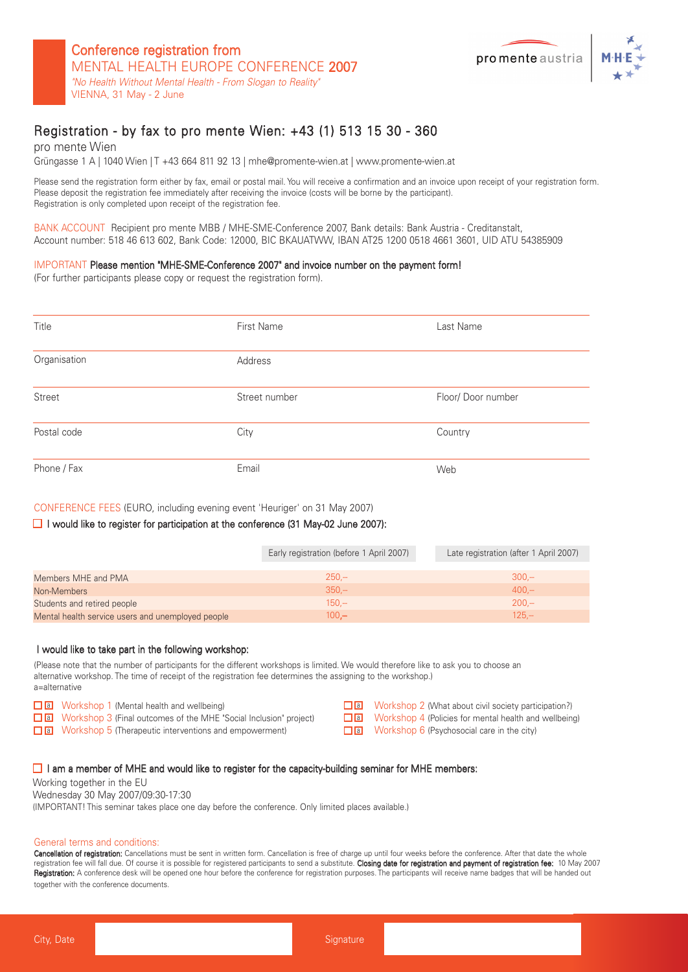

### Registration - by fax to pro mente Wien: +43 (1) 513 15 30 - 360

pro mente Wien Grüngasse 1 A | 1040 Wien | T + 43 664 811 92 13 | mhe@promente-wien.at | www.promente-wien.at

Please send the registration form either by fax, email or postal mail. You will receive a confirmation and an invoice upon receipt of your registration form. Please deposit the registration fee immediately after receiving the invoice (costs will be borne by the participant). Registration is only completed upon receipt of the registration fee.

BANK ACCOUNT Recipient pro mente MBB / MHE-SME-Conference 2007, Bank details: Bank Austria - Creditanstalt, Account number: 518 46 613 602, Bank Code: 12000, BIC BKAUATWW, IBAN AT25 1200 0518 4661 3601, UID ATU 54385909

#### IMPORTANT Please mention "MHE-SME-Conference 2007" and invoice number on the payment form!

(For further participants please copy or request the registration form).

| Title        | First Name    | Last Name         |
|--------------|---------------|-------------------|
| Organisation | Address       |                   |
| Street       | Street number | Floor/Door number |
| Postal code  | City          | Country           |
| Phone / Fax  | Email         | Web               |

#### CONFERENCE FEES (EURO, including evening event 'Heuriger' on 31 May 2007)

#### $\Box$  I would like to register for participation at the conference (31 May-02 June 2007):

|                                                   | Early registration (before 1 April 2007) | Late registration (after 1 April 2007) |
|---------------------------------------------------|------------------------------------------|----------------------------------------|
|                                                   |                                          |                                        |
| Members MHE and PMA                               | $250 -$                                  | $300 -$                                |
| Non-Members                                       | $350 -$                                  | $400 -$                                |
| Students and retired people                       | $150 -$                                  | $200 -$                                |
| Mental health service users and unemployed people | $100 -$                                  | $125 -$                                |

#### I would like to take part in the following workshop:

(Please note that the number of participants for the different workshops is limited. We would therefore like to ask you to choose an alternative workshop. The time of receipt of the registration fee determines the assigning to the workshop.) a=alternative

| a Workshop 1 (Mental health and wellbeing)                                   | $\Box$ a Workshop 2 (What about civil society participation?)  |
|------------------------------------------------------------------------------|----------------------------------------------------------------|
| <b>T</b> a Workshop 3 (Final outcomes of the MHE "Social Inclusion" project) | $\Box$ a Workshop 4 (Policies for mental health and wellbeing) |
| $\Box$ a Workshop 5 (Therapeutic interventions and empowerment)              | $\Box$ a Workshop 6 (Psychosocial care in the city)            |

#### $\Box$  I am a member of MHE and would like to register for the capacity-building seminar for MHE members:

Working together in the EU

Wednesday 30 May 2007/09:30-17:30 (IMPORTANT! This seminar takes place one day before the conference. Only limited places available.)

#### General terms and conditions:

Cancellation of registration: Cancellations must be sent in written form. Cancellation is free of charge up until four weeks before the conference. After that date the whole registration fee will fall due. Of course it is possible for registered participants to send a substitute. Closing date for registration and payment of registration fee: 10 May 2007 Registration: A conference desk will be opened one hour before the conference for registration purposes. The participants will receive name badges that will be handed out together with the conference documents.